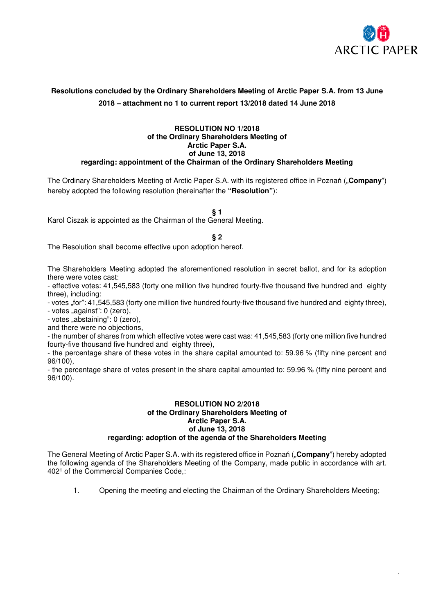

# **Resolutions concluded by the Ordinary Shareholders Meeting of Arctic Paper S.A. from 13 June 2018 – attachment no 1 to current report 13/2018 dated 14 June 2018**

### **RESOLUTION NO 1/2018 of the Ordinary Shareholders Meeting of Arctic Paper S.A. of June 13, 2018 regarding: appointment of the Chairman of the Ordinary Shareholders Meeting**

The Ordinary Shareholders Meeting of Arctic Paper S.A. with its registered office in Poznań ("**Company**") hereby adopted the following resolution (hereinafter the **"Resolution"**):

**§ 1** 

Karol Ciszak is appointed as the Chairman of the General Meeting.

**§ 2** 

The Resolution shall become effective upon adoption hereof.

The Shareholders Meeting adopted the aforementioned resolution in secret ballot, and for its adoption there were votes cast:

- effective votes: 41,545,583 (forty one million five hundred fourty-five thousand five hundred and eighty three), including:

- votes ..for": 41,545,583 (forty one million five hundred fourty-five thousand five hundred and eighty three),

- votes "against": 0 (zero),

- votes "abstaining": 0 (zero),

and there were no objections,

- the number of shares from which effective votes were cast was: 41,545,583 (forty one million five hundred fourty-five thousand five hundred and eighty three),

- the percentage share of these votes in the share capital amounted to: 59.96 % (fifty nine percent and 96/100),

- the percentage share of votes present in the share capital amounted to: 59.96 % (fifty nine percent and 96/100).

### **RESOLUTION NO 2/2018 of the Ordinary Shareholders Meeting of Arctic Paper S.A. of June 13, 2018 regarding: adoption of the agenda of the Shareholders Meeting**

The General Meeting of Arctic Paper S.A. with its registered office in Poznań ("**Company**") hereby adopted the following agenda of the Shareholders Meeting of the Company, made public in accordance with art. 402<sup>1</sup> of the Commercial Companies Code,:

1. Opening the meeting and electing the Chairman of the Ordinary Shareholders Meeting;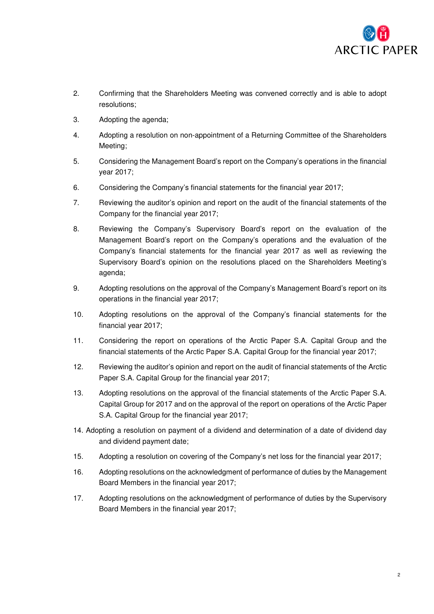

- 2. Confirming that the Shareholders Meeting was convened correctly and is able to adopt resolutions;
- 3. Adopting the agenda;
- 4. Adopting a resolution on non-appointment of a Returning Committee of the Shareholders Meeting;
- 5. Considering the Management Board's report on the Company's operations in the financial year 2017;
- 6. Considering the Company's financial statements for the financial year 2017;
- 7. Reviewing the auditor's opinion and report on the audit of the financial statements of the Company for the financial year 2017;
- 8. Reviewing the Company's Supervisory Board's report on the evaluation of the Management Board's report on the Company's operations and the evaluation of the Company's financial statements for the financial year 2017 as well as reviewing the Supervisory Board's opinion on the resolutions placed on the Shareholders Meeting's agenda;
- 9. Adopting resolutions on the approval of the Company's Management Board's report on its operations in the financial year 2017;
- 10. Adopting resolutions on the approval of the Company's financial statements for the financial year 2017;
- 11. Considering the report on operations of the Arctic Paper S.A. Capital Group and the financial statements of the Arctic Paper S.A. Capital Group for the financial year 2017;
- 12. Reviewing the auditor's opinion and report on the audit of financial statements of the Arctic Paper S.A. Capital Group for the financial year 2017;
- 13. Adopting resolutions on the approval of the financial statements of the Arctic Paper S.A. Capital Group for 2017 and on the approval of the report on operations of the Arctic Paper S.A. Capital Group for the financial year 2017;
- 14. Adopting a resolution on payment of a dividend and determination of a date of dividend day and dividend payment date;
- 15. Adopting a resolution on covering of the Company's net loss for the financial year 2017;
- 16. Adopting resolutions on the acknowledgment of performance of duties by the Management Board Members in the financial year 2017;
- 17. Adopting resolutions on the acknowledgment of performance of duties by the Supervisory Board Members in the financial year 2017;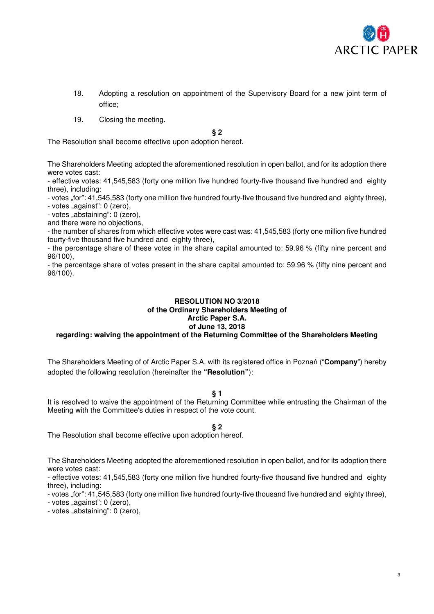

- 18. Adopting a resolution on appointment of the Supervisory Board for a new joint term of office;
- 19. Closing the meeting.

### **§ 2**

The Resolution shall become effective upon adoption hereof.

The Shareholders Meeting adopted the aforementioned resolution in open ballot, and for its adoption there were votes cast:

- effective votes: 41,545,583 (forty one million five hundred fourty-five thousand five hundred and eighty three), including:

- votes ..for": 41,545,583 (forty one million five hundred fourty-five thousand five hundred and eighty three),

- votes "against": 0 (zero),

- votes "abstaining": 0 (zero),

and there were no objections,

- the number of shares from which effective votes were cast was: 41,545,583 (forty one million five hundred fourty-five thousand five hundred and eighty three),

- the percentage share of these votes in the share capital amounted to: 59.96 % (fifty nine percent and 96/100),

- the percentage share of votes present in the share capital amounted to: 59.96 % (fifty nine percent and 96/100).

### **RESOLUTION NO 3/2018 of the Ordinary Shareholders Meeting of Arctic Paper S.A. of June 13, 2018 regarding: waiving the appointment of the Returning Committee of the Shareholders Meeting**

The Shareholders Meeting of of Arctic Paper S.A. with its registered office in Poznań ("**Company**") hereby

### **§ 1**

It is resolved to waive the appointment of the Returning Committee while entrusting the Chairman of the Meeting with the Committee's duties in respect of the vote count.

### **§ 2**

The Resolution shall become effective upon adoption hereof.

adopted the following resolution (hereinafter the **"Resolution"**):

The Shareholders Meeting adopted the aforementioned resolution in open ballot, and for its adoption there were votes cast:

- effective votes: 41,545,583 (forty one million five hundred fourty-five thousand five hundred and eighty three), including:

- votes "for": 41,545,583 (forty one million five hundred fourty-five thousand five hundred and eighty three),

- votes "against": 0 (zero),

- votes "abstaining": 0 (zero),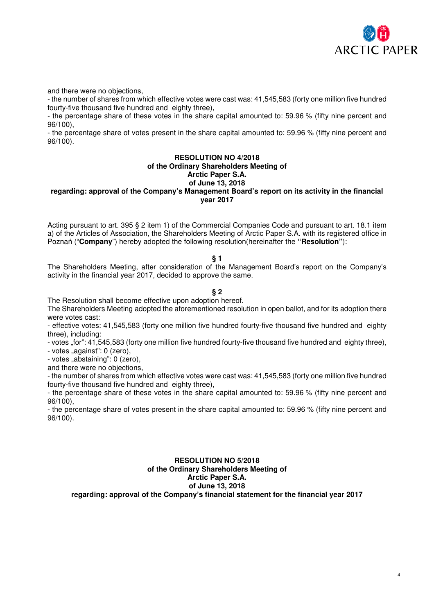

and there were no objections,

- the number of shares from which effective votes were cast was: 41,545,583 (forty one million five hundred fourty-five thousand five hundred and eighty three),

- the percentage share of these votes in the share capital amounted to: 59.96 % (fifty nine percent and 96/100),

- the percentage share of votes present in the share capital amounted to: 59.96 % (fifty nine percent and 96/100).

### **RESOLUTION NO 4/2018 of the Ordinary Shareholders Meeting of Arctic Paper S.A. of June 13, 2018**

## **regarding: approval of the Company's Management Board's report on its activity in the financial year 2017**

Acting pursuant to art. 395 § 2 item 1) of the Commercial Companies Code and pursuant to art. 18.1 item a) of the Articles of Association, the Shareholders Meeting of Arctic Paper S.A. with its registered office in Poznań ("**Company**") hereby adopted the following resolution(hereinafter the **"Resolution"**):

### **§ 1**

The Shareholders Meeting, after consideration of the Management Board's report on the Company's activity in the financial year 2017, decided to approve the same.

### **§ 2**

The Resolution shall become effective upon adoption hereof.

The Shareholders Meeting adopted the aforementioned resolution in open ballot, and for its adoption there were votes cast:

- effective votes: 41,545,583 (forty one million five hundred fourty-five thousand five hundred and eighty three), including:

- votes "for": 41,545,583 (forty one million five hundred fourty-five thousand five hundred and eighty three),

- votes "against": 0 (zero),

- votes "abstaining": 0 (zero),

and there were no objections,

- the number of shares from which effective votes were cast was: 41,545,583 (forty one million five hundred fourty-five thousand five hundred and eighty three),

- the percentage share of these votes in the share capital amounted to: 59.96 % (fifty nine percent and 96/100),

- the percentage share of votes present in the share capital amounted to: 59.96 % (fifty nine percent and 96/100).

### **RESOLUTION NO 5/2018 of the Ordinary Shareholders Meeting of Arctic Paper S.A. of June 13, 2018 regarding: approval of the Company's financial statement for the financial year 2017**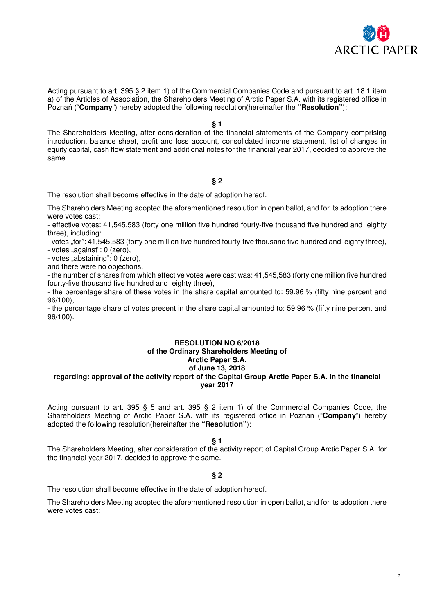

Acting pursuant to art. 395 § 2 item 1) of the Commercial Companies Code and pursuant to art. 18.1 item a) of the Articles of Association, the Shareholders Meeting of Arctic Paper S.A. with its registered office in Poznań ("**Company**") hereby adopted the following resolution(hereinafter the **"Resolution"**):

**§ 1** 

The Shareholders Meeting, after consideration of the financial statements of the Company comprising introduction, balance sheet, profit and loss account, consolidated income statement, list of changes in equity capital, cash flow statement and additional notes for the financial year 2017, decided to approve the same.

### **§ 2**

The resolution shall become effective in the date of adoption hereof.

The Shareholders Meeting adopted the aforementioned resolution in open ballot, and for its adoption there were votes cast:

- effective votes: 41,545,583 (forty one million five hundred fourty-five thousand five hundred and eighty three), including:

- votes "for": 41,545,583 (forty one million five hundred fourty-five thousand five hundred and eighty three),

- votes "against": 0 (zero),

- votes "abstaining": 0 (zero),

and there were no objections,

- the number of shares from which effective votes were cast was: 41,545,583 (forty one million five hundred fourty-five thousand five hundred and eighty three),

- the percentage share of these votes in the share capital amounted to: 59.96 % (fifty nine percent and 96/100),

- the percentage share of votes present in the share capital amounted to: 59.96 % (fifty nine percent and 96/100).

### **RESOLUTION NO 6/2018 of the Ordinary Shareholders Meeting of Arctic Paper S.A. of June 13, 2018 regarding: approval of the activity report of the Capital Group Arctic Paper S.A. in the financial year 2017**

Acting pursuant to art. 395 § 5 and art. 395 § 2 item 1) of the Commercial Companies Code, the Shareholders Meeting of Arctic Paper S.A. with its registered office in Poznań ("**Company**") hereby adopted the following resolution(hereinafter the **"Resolution"**):

**§ 1** 

The Shareholders Meeting, after consideration of the activity report of Capital Group Arctic Paper S.A. for the financial year 2017, decided to approve the same.

### **§ 2**

The resolution shall become effective in the date of adoption hereof.

The Shareholders Meeting adopted the aforementioned resolution in open ballot, and for its adoption there were votes cast: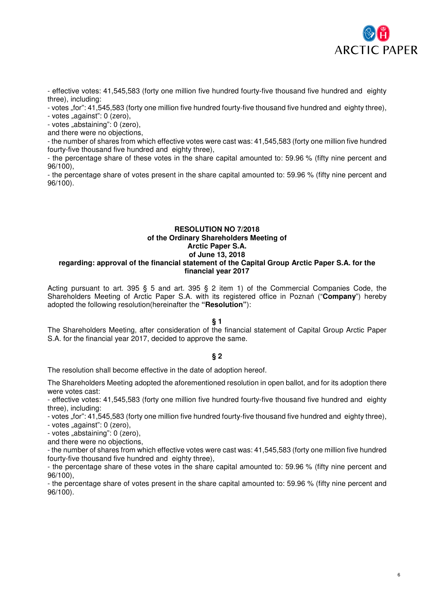

- effective votes: 41,545,583 (forty one million five hundred fourty-five thousand five hundred and eighty three), including:

- votes "for": 41,545,583 (forty one million five hundred fourty-five thousand five hundred and eighty three),

 $-$  votes "against": 0 (zero),

- votes "abstaining": 0 (zero),

and there were no objections,

- the number of shares from which effective votes were cast was: 41,545,583 (forty one million five hundred fourty-five thousand five hundred and eighty three),

- the percentage share of these votes in the share capital amounted to: 59.96 % (fifty nine percent and 96/100),

- the percentage share of votes present in the share capital amounted to: 59.96 % (fifty nine percent and 96/100).

### **RESOLUTION NO 7/2018 of the Ordinary Shareholders Meeting of Arctic Paper S.A. of June 13, 2018 regarding: approval of the financial statement of the Capital Group Arctic Paper S.A. for the financial year 2017**

Acting pursuant to art. 395 § 5 and art. 395 § 2 item 1) of the Commercial Companies Code, the Shareholders Meeting of Arctic Paper S.A. with its registered office in Poznań ("**Company**") hereby adopted the following resolution(hereinafter the **"Resolution"**):

# **§ 1**

The Shareholders Meeting, after consideration of the financial statement of Capital Group Arctic Paper S.A. for the financial year 2017, decided to approve the same.

# **§ 2**

The resolution shall become effective in the date of adoption hereof.

The Shareholders Meeting adopted the aforementioned resolution in open ballot, and for its adoption there were votes cast:

- effective votes: 41,545,583 (forty one million five hundred fourty-five thousand five hundred and eighty three), including:

- votes "for": 41,545,583 (forty one million five hundred fourty-five thousand five hundred and eighty three),

- votes "against": 0 (zero),

- votes "abstaining": 0 (zero),

and there were no objections,

- the number of shares from which effective votes were cast was: 41,545,583 (forty one million five hundred fourty-five thousand five hundred and eighty three),

- the percentage share of these votes in the share capital amounted to: 59.96 % (fifty nine percent and 96/100),

- the percentage share of votes present in the share capital amounted to: 59.96 % (fifty nine percent and 96/100).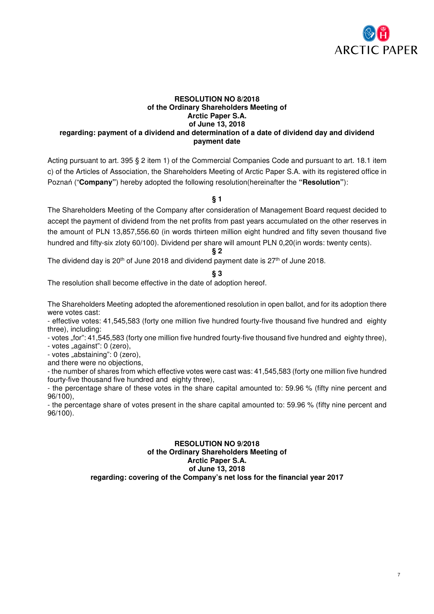

### **RESOLUTION NO 8/2018 of the Ordinary Shareholders Meeting of Arctic Paper S.A. of June 13, 2018 regarding: payment of a dividend and determination of a date of dividend day and dividend payment date**

Acting pursuant to art. 395 § 2 item 1) of the Commercial Companies Code and pursuant to art. 18.1 item c) of the Articles of Association, the Shareholders Meeting of Arctic Paper S.A. with its registered office in Poznań ("**Company"**) hereby adopted the following resolution(hereinafter the **"Resolution"**):

**§ 1** 

The Shareholders Meeting of the Company after consideration of Management Board request decided to accept the payment of dividend from the net profits from past years accumulated on the other reserves in the amount of PLN 13,857,556.60 (in words thirteen million eight hundred and fifty seven thousand five hundred and fifty-six zloty 60/100). Dividend per share will amount PLN 0,20(in words: twenty cents).

**§ 2** 

The dividend day is  $20<sup>th</sup>$  of June 2018 and dividend payment date is  $27<sup>th</sup>$  of June 2018.

### **§ 3**

The resolution shall become effective in the date of adoption hereof.

The Shareholders Meeting adopted the aforementioned resolution in open ballot, and for its adoption there were votes cast:

- effective votes: 41,545,583 (forty one million five hundred fourty-five thousand five hundred and eighty three), including:

- votes "for": 41,545,583 (forty one million five hundred fourty-five thousand five hundred and eighty three),

- votes "against": 0 (zero),

- votes "abstaining": 0 (zero),

and there were no objections,

- the number of shares from which effective votes were cast was: 41,545,583 (forty one million five hundred fourty-five thousand five hundred and eighty three),

- the percentage share of these votes in the share capital amounted to: 59.96 % (fifty nine percent and 96/100),

- the percentage share of votes present in the share capital amounted to: 59.96 % (fifty nine percent and 96/100).

### **RESOLUTION NO 9/2018 of the Ordinary Shareholders Meeting of Arctic Paper S.A. of June 13, 2018 regarding: covering of the Company's net loss for the financial year 2017**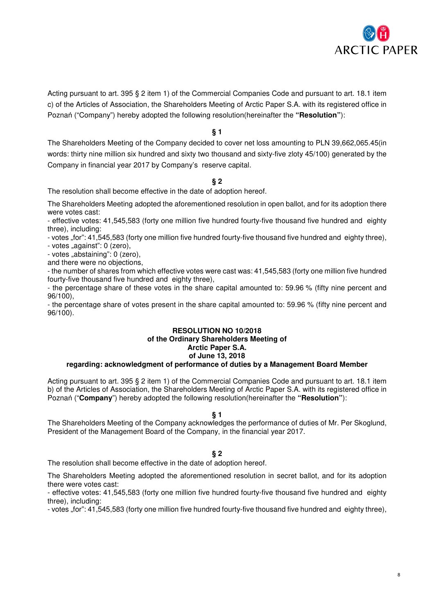

Acting pursuant to art. 395 § 2 item 1) of the Commercial Companies Code and pursuant to art. 18.1 item c) of the Articles of Association, the Shareholders Meeting of Arctic Paper S.A. with its registered office in Poznań ("Company") hereby adopted the following resolution(hereinafter the **"Resolution"**):

### **§ 1**

The Shareholders Meeting of the Company decided to cover net loss amounting to PLN 39,662,065.45(in words: thirty nine million six hundred and sixty two thousand and sixty-five zloty 45/100) generated by the Company in financial year 2017 by Company's reserve capital.

### **§ 2**

The resolution shall become effective in the date of adoption hereof.

The Shareholders Meeting adopted the aforementioned resolution in open ballot, and for its adoption there were votes cast:

- effective votes: 41,545,583 (forty one million five hundred fourty-five thousand five hundred and eighty three), including:

- votes "for": 41,545,583 (forty one million five hundred fourty-five thousand five hundred and eighty three),

- votes "against": 0 (zero).

- votes "abstaining": 0 (zero),

and there were no objections,

- the number of shares from which effective votes were cast was: 41,545,583 (forty one million five hundred fourty-five thousand five hundred and eighty three),

- the percentage share of these votes in the share capital amounted to: 59.96 % (fifty nine percent and 96/100),

- the percentage share of votes present in the share capital amounted to: 59.96 % (fifty nine percent and 96/100).

# **RESOLUTION NO 10/2018 of the Ordinary Shareholders Meeting of Arctic Paper S.A. of June 13, 2018**

### **regarding: acknowledgment of performance of duties by a Management Board Member**

Acting pursuant to art. 395 § 2 item 1) of the Commercial Companies Code and pursuant to art. 18.1 item b) of the Articles of Association, the Shareholders Meeting of Arctic Paper S.A. with its registered office in Poznań ("**Company**") hereby adopted the following resolution(hereinafter the **"Resolution"**):

### **§ 1**

The Shareholders Meeting of the Company acknowledges the performance of duties of Mr. Per Skoglund, President of the Management Board of the Company, in the financial year 2017.

### **§ 2**

The resolution shall become effective in the date of adoption hereof.

The Shareholders Meeting adopted the aforementioned resolution in secret ballot, and for its adoption there were votes cast:

- effective votes: 41,545,583 (forty one million five hundred fourty-five thousand five hundred and eighty three), including:

- votes "for": 41,545,583 (forty one million five hundred fourty-five thousand five hundred and eighty three),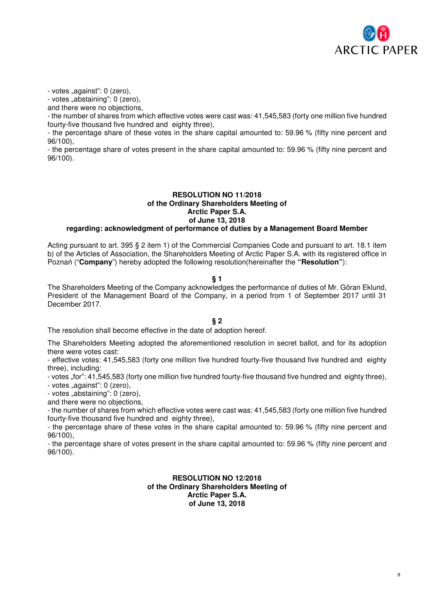

- votes "against": 0 (zero),

- votes "abstaining": 0 (zero),

and there were no objections,

- the number of shares from which effective votes were cast was: 41,545,583 (forty one million five hundred fourty-five thousand five hundred and eighty three),

- the percentage share of these votes in the share capital amounted to: 59.96 % (fifty nine percent and 96/100),

- the percentage share of votes present in the share capital amounted to: 59.96 % (fifty nine percent and 96/100).

### **RESOLUTION NO 11/2018 of the Ordinary Shareholders Meeting of Arctic Paper S.A. of June 13, 2018 regarding: acknowledgment of performance of duties by a Management Board Member**

Acting pursuant to art. 395 § 2 item 1) of the Commercial Companies Code and pursuant to art. 18.1 item b) of the Articles of Association, the Shareholders Meeting of Arctic Paper S.A. with its registered office in Poznań ("**Company**") hereby adopted the following resolution(hereinafter the **"Resolution"**):

### **§ 1**

The Shareholders Meeting of the Company acknowledges the performance of duties of Mr. Göran Eklund, President of the Management Board of the Company, in a period from 1 of September 2017 until 31 December 2017.

**§ 2** 

The resolution shall become effective in the date of adoption hereof.

The Shareholders Meeting adopted the aforementioned resolution in secret ballot, and for its adoption there were votes cast:

- effective votes: 41,545,583 (forty one million five hundred fourty-five thousand five hundred and eighty three), including:

- votes "for": 41,545,583 (forty one million five hundred fourty-five thousand five hundred and eighty three),

- votes "against": 0 (zero),

- votes "abstaining": 0 (zero),

and there were no objections,

- the number of shares from which effective votes were cast was: 41,545,583 (forty one million five hundred fourty-five thousand five hundred and eighty three),

- the percentage share of these votes in the share capital amounted to: 59.96 % (fifty nine percent and 96/100),

- the percentage share of votes present in the share capital amounted to: 59.96 % (fifty nine percent and 96/100).

> **RESOLUTION NO 12/2018 of the Ordinary Shareholders Meeting of Arctic Paper S.A. of June 13, 2018**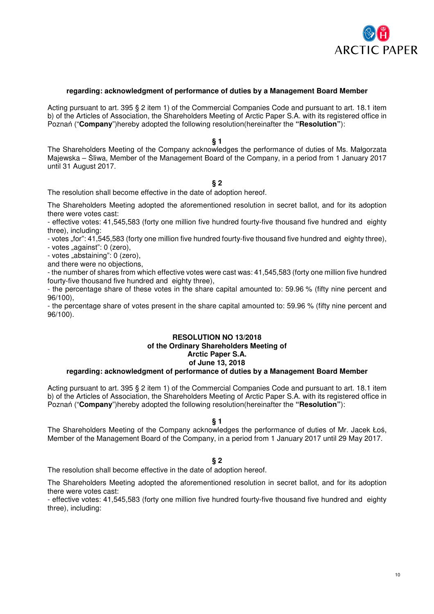

### **regarding: acknowledgment of performance of duties by a Management Board Member**

Acting pursuant to art. 395 § 2 item 1) of the Commercial Companies Code and pursuant to art. 18.1 item b) of the Articles of Association, the Shareholders Meeting of Arctic Paper S.A. with its registered office in Poznań ("**Company**")hereby adopted the following resolution(hereinafter the **"Resolution"**):

**§ 1** 

The Shareholders Meeting of the Company acknowledges the performance of duties of Ms. Małgorzata Majewska – Śliwa, Member of the Management Board of the Company, in a period from 1 January 2017 until 31 August 2017.

#### **§ 2**

The resolution shall become effective in the date of adoption hereof.

The Shareholders Meeting adopted the aforementioned resolution in secret ballot, and for its adoption there were votes cast:

- effective votes: 41,545,583 (forty one million five hundred fourty-five thousand five hundred and eighty three), including:

- votes "for": 41,545,583 (forty one million five hundred fourty-five thousand five hundred and eighty three),

- votes "against": 0 (zero),

- votes "abstaining": 0 (zero).

and there were no objections,

- the number of shares from which effective votes were cast was: 41,545,583 (forty one million five hundred fourty-five thousand five hundred and eighty three),

- the percentage share of these votes in the share capital amounted to: 59.96 % (fifty nine percent and 96/100),

- the percentage share of votes present in the share capital amounted to: 59.96 % (fifty nine percent and 96/100).

# **RESOLUTION NO 13/2018 of the Ordinary Shareholders Meeting of Arctic Paper S.A. of June 13, 2018**

# **regarding: acknowledgment of performance of duties by a Management Board Member**

Acting pursuant to art. 395 § 2 item 1) of the Commercial Companies Code and pursuant to art. 18.1 item b) of the Articles of Association, the Shareholders Meeting of Arctic Paper S.A. with its registered office in Poznań ("**Company**")hereby adopted the following resolution(hereinafter the **"Resolution"**):

#### **§ 1**

The Shareholders Meeting of the Company acknowledges the performance of duties of Mr. Jacek Łoś, Member of the Management Board of the Company, in a period from 1 January 2017 until 29 May 2017.

# **§ 2**

The resolution shall become effective in the date of adoption hereof.

The Shareholders Meeting adopted the aforementioned resolution in secret ballot, and for its adoption there were votes cast:

- effective votes: 41,545,583 (forty one million five hundred fourty-five thousand five hundred and eighty three), including: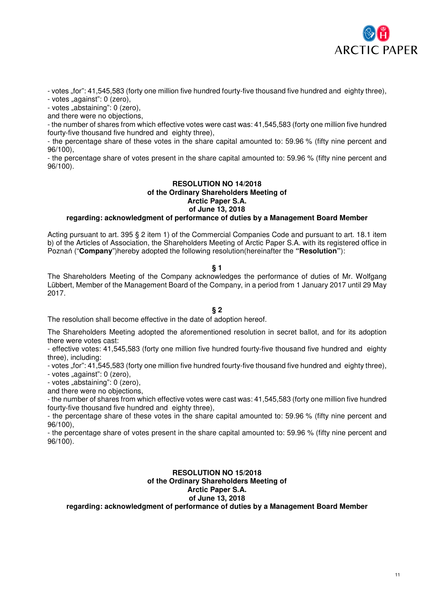

- votes "for": 41,545,583 (forty one million five hundred fourty-five thousand five hundred and eighty three), - votes "against": 0 (zero),

- votes "abstaining": 0 (zero),

and there were no objections,

- the number of shares from which effective votes were cast was: 41,545,583 (forty one million five hundred fourty-five thousand five hundred and eighty three),

- the percentage share of these votes in the share capital amounted to: 59.96 % (fifty nine percent and 96/100),

- the percentage share of votes present in the share capital amounted to: 59.96 % (fifty nine percent and 96/100).

# **RESOLUTION NO 14/2018 of the Ordinary Shareholders Meeting of Arctic Paper S.A. of June 13, 2018**

# **regarding: acknowledgment of performance of duties by a Management Board Member**

Acting pursuant to art. 395 § 2 item 1) of the Commercial Companies Code and pursuant to art. 18.1 item b) of the Articles of Association, the Shareholders Meeting of Arctic Paper S.A. with its registered office in Poznań ("**Company**")hereby adopted the following resolution(hereinafter the **"Resolution"**):

### **§ 1**

The Shareholders Meeting of the Company acknowledges the performance of duties of Mr. Wolfgang Lübbert, Member of the Management Board of the Company, in a period from 1 January 2017 until 29 May 2017.

### **§ 2**

The resolution shall become effective in the date of adoption hereof.

The Shareholders Meeting adopted the aforementioned resolution in secret ballot, and for its adoption there were votes cast:

- effective votes: 41,545,583 (forty one million five hundred fourty-five thousand five hundred and eighty three), including:

- votes "for": 41,545,583 (forty one million five hundred fourty-five thousand five hundred and eighty three),

- votes "against": 0 (zero),

- votes "abstaining": 0 (zero),

and there were no objections,

- the number of shares from which effective votes were cast was: 41,545,583 (forty one million five hundred fourty-five thousand five hundred and eighty three),

- the percentage share of these votes in the share capital amounted to: 59.96 % (fifty nine percent and 96/100),

- the percentage share of votes present in the share capital amounted to: 59.96 % (fifty nine percent and 96/100).

### **RESOLUTION NO 15/2018 of the Ordinary Shareholders Meeting of Arctic Paper S.A. of June 13, 2018 regarding: acknowledgment of performance of duties by a Management Board Member**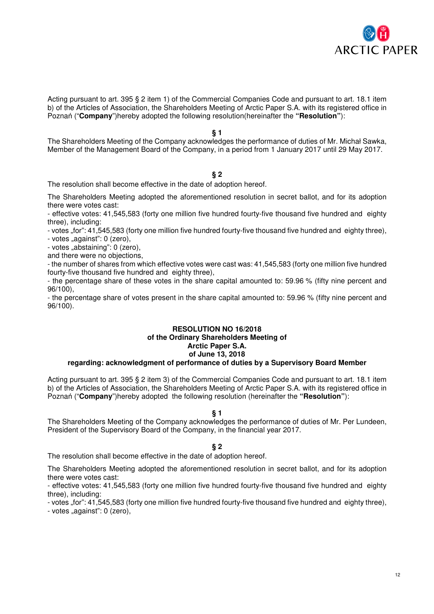

Acting pursuant to art. 395 § 2 item 1) of the Commercial Companies Code and pursuant to art. 18.1 item b) of the Articles of Association, the Shareholders Meeting of Arctic Paper S.A. with its registered office in Poznań ("**Company**")hereby adopted the following resolution(hereinafter the **"Resolution"**):

### **§ 1**

The Shareholders Meeting of the Company acknowledges the performance of duties of Mr. Michał Sawka, Member of the Management Board of the Company, in a period from 1 January 2017 until 29 May 2017.

### **§ 2**

The resolution shall become effective in the date of adoption hereof.

The Shareholders Meeting adopted the aforementioned resolution in secret ballot, and for its adoption there were votes cast:

- effective votes: 41,545,583 (forty one million five hundred fourty-five thousand five hundred and eighty three), including:

- votes "for": 41,545,583 (forty one million five hundred fourty-five thousand five hundred and eighty three),

- votes "against": 0 (zero),

- votes "abstaining": 0 (zero),

and there were no objections,

- the number of shares from which effective votes were cast was: 41,545,583 (forty one million five hundred fourty-five thousand five hundred and eighty three),

- the percentage share of these votes in the share capital amounted to: 59.96 % (fifty nine percent and 96/100),

- the percentage share of votes present in the share capital amounted to: 59.96 % (fifty nine percent and 96/100).

# **RESOLUTION NO 16/2018 of the Ordinary Shareholders Meeting of Arctic Paper S.A. of June 13, 2018**

# **regarding: acknowledgment of performance of duties by a Supervisory Board Member**

Acting pursuant to art. 395 § 2 item 3) of the Commercial Companies Code and pursuant to art. 18.1 item b) of the Articles of Association, the Shareholders Meeting of Arctic Paper S.A. with its registered office in Poznań ("**Company**")hereby adopted the following resolution (hereinafter the **"Resolution"**):

### **§ 1**

The Shareholders Meeting of the Company acknowledges the performance of duties of Mr. Per Lundeen, President of the Supervisory Board of the Company, in the financial year 2017.

#### **§ 2**

The resolution shall become effective in the date of adoption hereof.

The Shareholders Meeting adopted the aforementioned resolution in secret ballot, and for its adoption there were votes cast:

- effective votes: 41,545,583 (forty one million five hundred fourty-five thousand five hundred and eighty three), including:

- votes ..for": 41,545,583 (forty one million five hundred fourty-five thousand five hundred and eighty three),  $-$  votes "against": 0 (zero),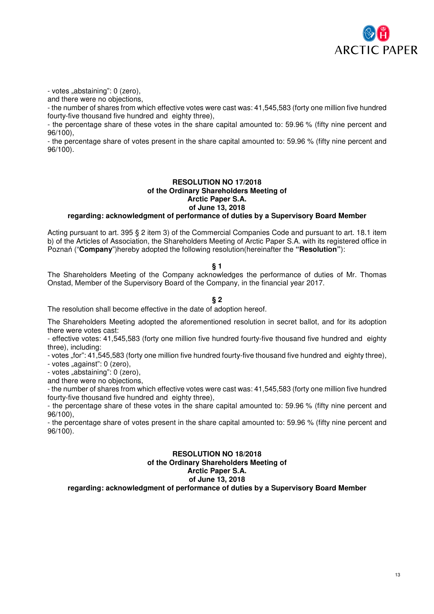

- votes "abstaining": 0 (zero),

and there were no objections,

- the number of shares from which effective votes were cast was: 41,545,583 (forty one million five hundred fourty-five thousand five hundred and eighty three),

- the percentage share of these votes in the share capital amounted to: 59.96 % (fifty nine percent and 96/100),

- the percentage share of votes present in the share capital amounted to: 59.96 % (fifty nine percent and 96/100).

# **RESOLUTION NO 17/2018 of the Ordinary Shareholders Meeting of Arctic Paper S.A. of June 13, 2018 regarding: acknowledgment of performance of duties by a Supervisory Board Member**

Acting pursuant to art. 395 § 2 item 3) of the Commercial Companies Code and pursuant to art. 18.1 item b) of the Articles of Association, the Shareholders Meeting of Arctic Paper S.A. with its registered office in Poznań ("**Company**")hereby adopted the following resolution(hereinafter the **"Resolution"**):

### **§ 1**

The Shareholders Meeting of the Company acknowledges the performance of duties of Mr. Thomas Onstad, Member of the Supervisory Board of the Company, in the financial year 2017.

# **§ 2**

The resolution shall become effective in the date of adoption hereof.

The Shareholders Meeting adopted the aforementioned resolution in secret ballot, and for its adoption there were votes cast:

- effective votes: 41,545,583 (forty one million five hundred fourty-five thousand five hundred and eighty three), including:

- votes "for": 41,545,583 (forty one million five hundred fourty-five thousand five hundred and eighty three),

- votes "against": 0 (zero).

- votes "abstaining": 0 (zero).

and there were no objections,

- the number of shares from which effective votes were cast was: 41,545,583 (forty one million five hundred fourty-five thousand five hundred and eighty three),

- the percentage share of these votes in the share capital amounted to: 59.96 % (fifty nine percent and 96/100),

- the percentage share of votes present in the share capital amounted to: 59.96 % (fifty nine percent and 96/100).

### **RESOLUTION NO 18/2018 of the Ordinary Shareholders Meeting of Arctic Paper S.A. of June 13, 2018 regarding: acknowledgment of performance of duties by a Supervisory Board Member**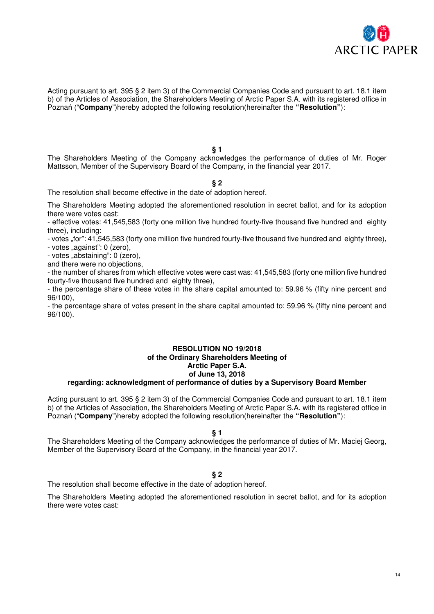

Acting pursuant to art. 395 § 2 item 3) of the Commercial Companies Code and pursuant to art. 18.1 item b) of the Articles of Association, the Shareholders Meeting of Arctic Paper S.A. with its registered office in Poznań ("**Company**")hereby adopted the following resolution(hereinafter the **"Resolution"**):

**§ 1** 

The Shareholders Meeting of the Company acknowledges the performance of duties of Mr. Roger Mattsson, Member of the Supervisory Board of the Company, in the financial year 2017.

#### **§ 2**

The resolution shall become effective in the date of adoption hereof.

The Shareholders Meeting adopted the aforementioned resolution in secret ballot, and for its adoption there were votes cast:

- effective votes: 41,545,583 (forty one million five hundred fourty-five thousand five hundred and eighty three), including:

- votes "for": 41,545,583 (forty one million five hundred fourty-five thousand five hundred and eighty three),

- votes "against": 0 (zero),

- votes "abstaining": 0 (zero).

and there were no objections,

- the number of shares from which effective votes were cast was: 41,545,583 (forty one million five hundred fourty-five thousand five hundred and eighty three),

- the percentage share of these votes in the share capital amounted to: 59.96 % (fifty nine percent and 96/100),

- the percentage share of votes present in the share capital amounted to: 59.96 % (fifty nine percent and 96/100).

### **RESOLUTION NO 19/2018 of the Ordinary Shareholders Meeting of Arctic Paper S.A. of June 13, 2018 regarding: acknowledgment of performance of duties by a Supervisory Board Member**

Acting pursuant to art. 395 § 2 item 3) of the Commercial Companies Code and pursuant to art. 18.1 item b) of the Articles of Association, the Shareholders Meeting of Arctic Paper S.A. with its registered office in Poznań ("**Company**")hereby adopted the following resolution(hereinafter the **"Resolution"**):

**§ 1** 

The Shareholders Meeting of the Company acknowledges the performance of duties of Mr. Maciej Georg, Member of the Supervisory Board of the Company, in the financial year 2017.

### **§ 2**

The resolution shall become effective in the date of adoption hereof.

The Shareholders Meeting adopted the aforementioned resolution in secret ballot, and for its adoption there were votes cast: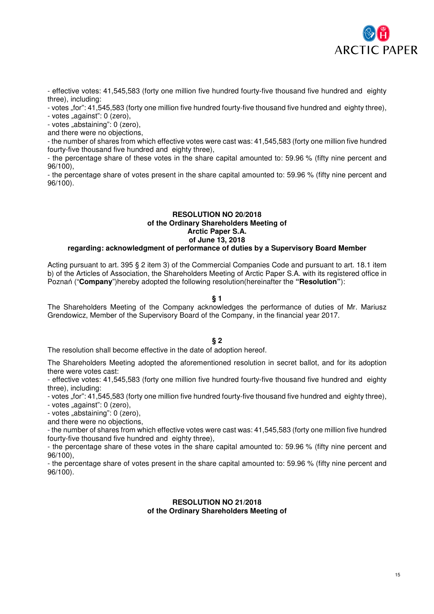

- effective votes: 41,545,583 (forty one million five hundred fourty-five thousand five hundred and eighty three), including:

- votes "for": 41,545,583 (forty one million five hundred fourty-five thousand five hundred and eighty three),

 $-$  votes "against": 0 (zero),

- votes "abstaining": 0 (zero),

and there were no objections,

- the number of shares from which effective votes were cast was: 41,545,583 (forty one million five hundred fourty-five thousand five hundred and eighty three),

- the percentage share of these votes in the share capital amounted to: 59.96 % (fifty nine percent and 96/100),

- the percentage share of votes present in the share capital amounted to: 59.96 % (fifty nine percent and 96/100).

# **RESOLUTION NO 20/2018 of the Ordinary Shareholders Meeting of Arctic Paper S.A. of June 13, 2018**

# **regarding: acknowledgment of performance of duties by a Supervisory Board Member**

Acting pursuant to art. 395 § 2 item 3) of the Commercial Companies Code and pursuant to art. 18.1 item b) of the Articles of Association, the Shareholders Meeting of Arctic Paper S.A. with its registered office in Poznań ("**Company**")hereby adopted the following resolution(hereinafter the **"Resolution"**):

### **§ 1**

The Shareholders Meeting of the Company acknowledges the performance of duties of Mr. Mariusz Grendowicz, Member of the Supervisory Board of the Company, in the financial year 2017.

# **§ 2**

The resolution shall become effective in the date of adoption hereof.

The Shareholders Meeting adopted the aforementioned resolution in secret ballot, and for its adoption there were votes cast:

- effective votes: 41,545,583 (forty one million five hundred fourty-five thousand five hundred and eighty three), including:

- votes "for": 41,545,583 (forty one million five hundred fourty-five thousand five hundred and eighty three),

- votes "against": 0 (zero),

- votes "abstaining": 0 (zero).

and there were no objections,

- the number of shares from which effective votes were cast was: 41,545,583 (forty one million five hundred fourty-five thousand five hundred and eighty three),

- the percentage share of these votes in the share capital amounted to: 59.96 % (fifty nine percent and 96/100),

- the percentage share of votes present in the share capital amounted to: 59.96 % (fifty nine percent and 96/100).

### **RESOLUTION NO 21/2018 of the Ordinary Shareholders Meeting of**